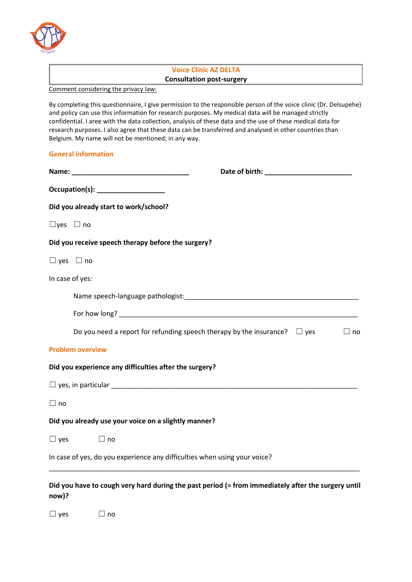

## **Voice Clinic AZ DELTA Consultation post-surgery**

Comment considering the privacy law:

By completing this questionnaire, I give permission to the responsible person of the voice clinic (Dr. Delsupehe) and policy can use this information for research purposes. My medical data will be managed strictly confidential. I aree with the data collection, analysis of these data and the use of these medical data for research purposes. I also agree that these data can be transferred and analysed in other countries than Belgium. My name will not be mentioned; in any way.

## **General information**

|                      | $Occupation(s):$ ______________________                                                                                                                                                                                           |
|----------------------|-----------------------------------------------------------------------------------------------------------------------------------------------------------------------------------------------------------------------------------|
|                      | Did you already start to work/school?                                                                                                                                                                                             |
| $\Box$ yes $\Box$ no |                                                                                                                                                                                                                                   |
|                      | Did you receive speech therapy before the surgery?                                                                                                                                                                                |
|                      | $\Box$ yes $\Box$ no                                                                                                                                                                                                              |
|                      | In case of yes:                                                                                                                                                                                                                   |
|                      |                                                                                                                                                                                                                                   |
|                      |                                                                                                                                                                                                                                   |
|                      | Do you need a report for refunding speech therapy by the insurance? $\Box$ yes<br>$\Box$ no                                                                                                                                       |
|                      | <b>Problem overview</b>                                                                                                                                                                                                           |
|                      | Did you experience any difficulties after the surgery?                                                                                                                                                                            |
|                      |                                                                                                                                                                                                                                   |
| $\Box$ no            |                                                                                                                                                                                                                                   |
|                      | Did you already use your voice on a slightly manner?                                                                                                                                                                              |
|                      | $\Box$ yes<br>$\Box$ no                                                                                                                                                                                                           |
|                      | In case of yes, do you experience any difficulties when using your voice?                                                                                                                                                         |
|                      | $\mathbf{r}$ . The state of the state of the state of the state of the state of the state of the state of the state of the state of the state of the state of the state of the state of the state of the state of the state of th |

**Did you have to cough very hard during the past period (= from immediately after the surgery until now)?** 

☐ yes ☐ no